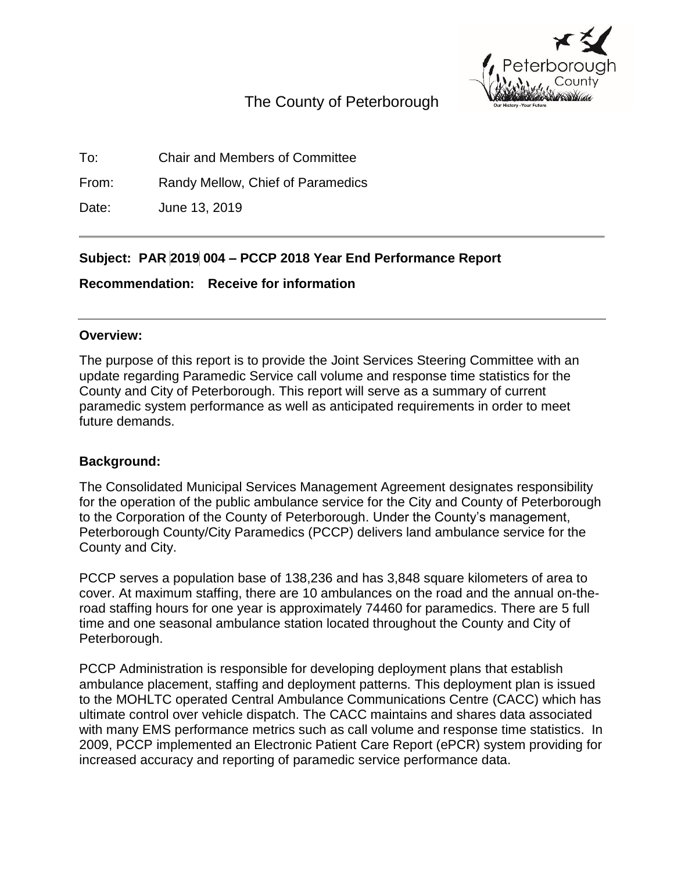

# The County of Peterborough

To: Chair and Members of Committee

From: Randy Mellow, Chief of Paramedics

Date: June 13, 2019

# **Subject: PAR 2019 004 – PCCP 2018 Year End Performance Report**

**Recommendation: Receive for information**

#### **Overview:**

The purpose of this report is to provide the Joint Services Steering Committee with an update regarding Paramedic Service call volume and response time statistics for the County and City of Peterborough. This report will serve as a summary of current paramedic system performance as well as anticipated requirements in order to meet future demands.

#### **Background:**

The Consolidated Municipal Services Management Agreement designates responsibility for the operation of the public ambulance service for the City and County of Peterborough to the Corporation of the County of Peterborough. Under the County's management, Peterborough County/City Paramedics (PCCP) delivers land ambulance service for the County and City.

PCCP serves a population base of 138,236 and has 3,848 square kilometers of area to cover. At maximum staffing, there are 10 ambulances on the road and the annual on-theroad staffing hours for one year is approximately 74460 for paramedics. There are 5 full time and one seasonal ambulance station located throughout the County and City of Peterborough.

PCCP Administration is responsible for developing deployment plans that establish ambulance placement, staffing and deployment patterns. This deployment plan is issued to the MOHLTC operated Central Ambulance Communications Centre (CACC) which has ultimate control over vehicle dispatch. The CACC maintains and shares data associated with many EMS performance metrics such as call volume and response time statistics. In 2009, PCCP implemented an Electronic Patient Care Report (ePCR) system providing for increased accuracy and reporting of paramedic service performance data.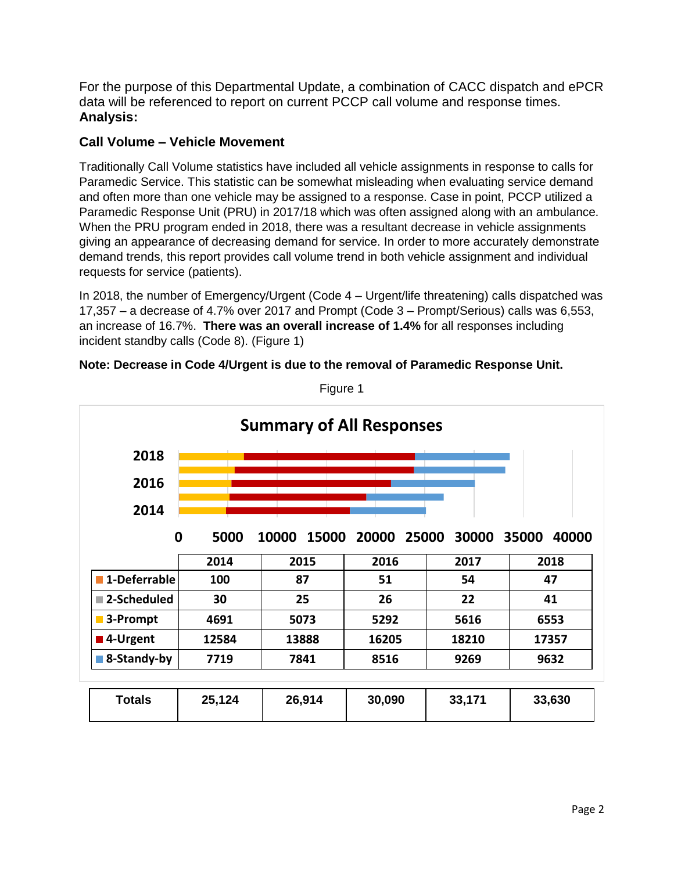For the purpose of this Departmental Update, a combination of CACC dispatch and ePCR data will be referenced to report on current PCCP call volume and response times. **Analysis:**

### **Call Volume – Vehicle Movement**

Traditionally Call Volume statistics have included all vehicle assignments in response to calls for Paramedic Service. This statistic can be somewhat misleading when evaluating service demand and often more than one vehicle may be assigned to a response. Case in point, PCCP utilized a Paramedic Response Unit (PRU) in 2017/18 which was often assigned along with an ambulance. When the PRU program ended in 2018, there was a resultant decrease in vehicle assignments giving an appearance of decreasing demand for service. In order to more accurately demonstrate demand trends, this report provides call volume trend in both vehicle assignment and individual requests for service (patients).

In 2018, the number of Emergency/Urgent (Code 4 – Urgent/life threatening) calls dispatched was 17,357 – a decrease of 4.7% over 2017 and Prompt (Code 3 – Prompt/Serious) calls was 6,553, an increase of 16.7%. **There was an overall increase of 1.4%** for all responses including incident standby calls (Code 8). (Figure 1)

|  |  |  | Note: Decrease in Code 4/Urgent is due to the removal of Paramedic Response Unit. |  |
|--|--|--|-----------------------------------------------------------------------------------|--|
|  |  |  |                                                                                   |  |



Figure 1

| <b>Totals</b> | 25,124 | 26,914 | 30,090 | 33,171 | 33,630 |
|---------------|--------|--------|--------|--------|--------|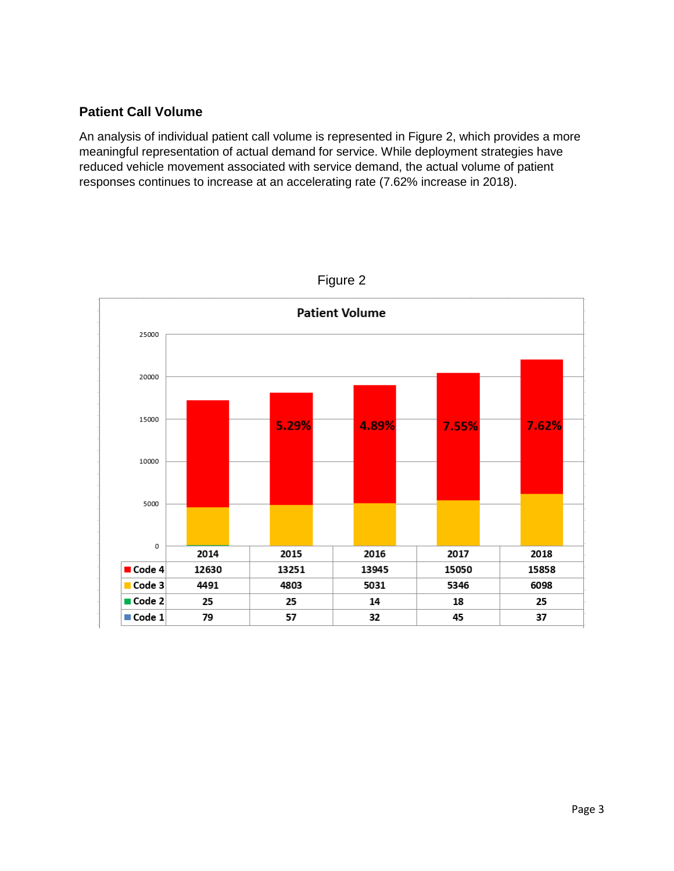### **Patient Call Volume**

An analysis of individual patient call volume is represented in Figure 2, which provides a more meaningful representation of actual demand for service. While deployment strategies have reduced vehicle movement associated with service demand, the actual volume of patient responses continues to increase at an accelerating rate (7.62% increase in 2018).



Figure 2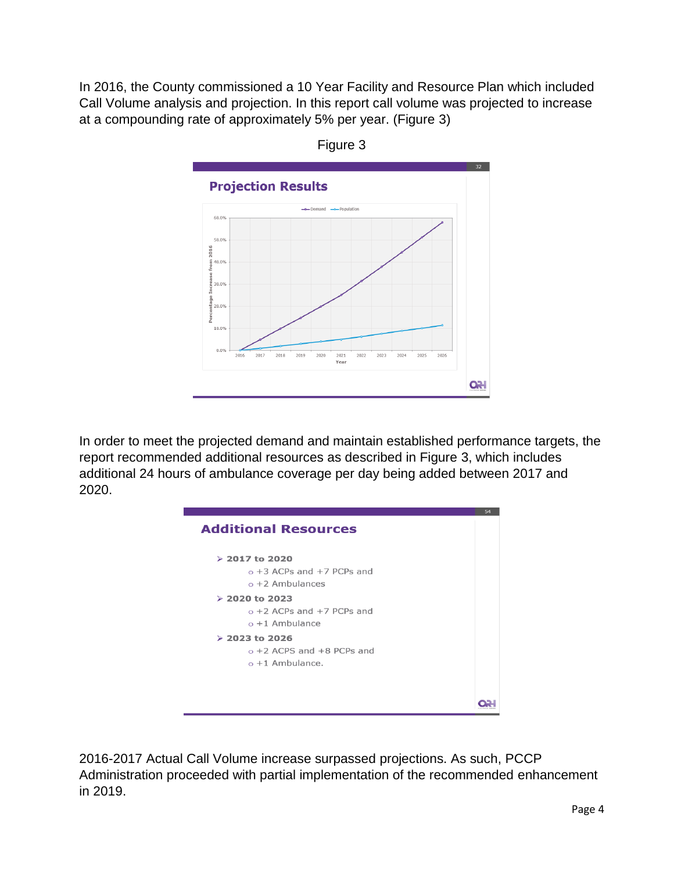In 2016, the County commissioned a 10 Year Facility and Resource Plan which included Call Volume analysis and projection. In this report call volume was projected to increase at a compounding rate of approximately 5% per year. (Figure 3)



Figure 3

In order to meet the projected demand and maintain established performance targets, the report recommended additional resources as described in Figure 3, which includes additional 24 hours of ambulance coverage per day being added between 2017 and 2020.

| <b>Additional Resources</b>                                                 | 54 |
|-----------------------------------------------------------------------------|----|
| $> 2017$ to 2020<br>$\circ$ +3 ACPs and +7 PCPs and<br>$o + 2$ Ambulances   |    |
| $> 2020$ to 2023<br>$\circ$ +2 ACPs and +7 PCPs and<br>$\circ$ +1 Ambulance |    |
| $> 2023$ to 2026<br>$o + 2$ ACPS and $+8$ PCPs and<br>$o + 1$ Ambulance.    |    |
|                                                                             |    |

2016-2017 Actual Call Volume increase surpassed projections. As such, PCCP Administration proceeded with partial implementation of the recommended enhancement in 2019.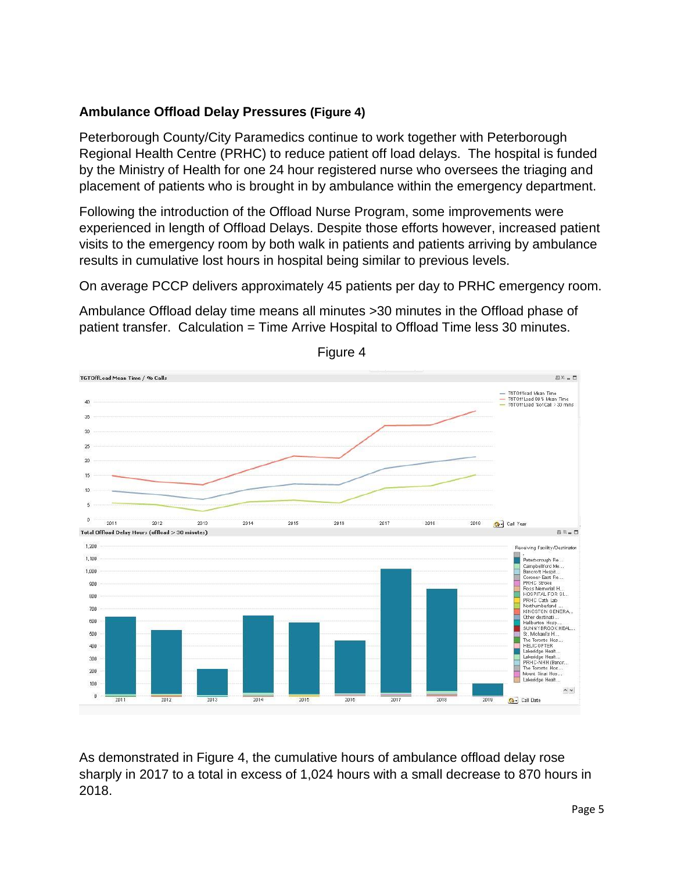## **Ambulance Offload Delay Pressures (Figure 4)**

Peterborough County/City Paramedics continue to work together with Peterborough Regional Health Centre (PRHC) to reduce patient off load delays. The hospital is funded by the Ministry of Health for one 24 hour registered nurse who oversees the triaging and placement of patients who is brought in by ambulance within the emergency department.

Following the introduction of the Offload Nurse Program, some improvements were experienced in length of Offload Delays. Despite those efforts however, increased patient visits to the emergency room by both walk in patients and patients arriving by ambulance results in cumulative lost hours in hospital being similar to previous levels.

On average PCCP delivers approximately 45 patients per day to PRHC emergency room.

Ambulance Offload delay time means all minutes >30 minutes in the Offload phase of patient transfer. Calculation = Time Arrive Hospital to Offload Time less 30 minutes.



Figure 4

As demonstrated in Figure 4, the cumulative hours of ambulance offload delay rose sharply in 2017 to a total in excess of 1,024 hours with a small decrease to 870 hours in 2018.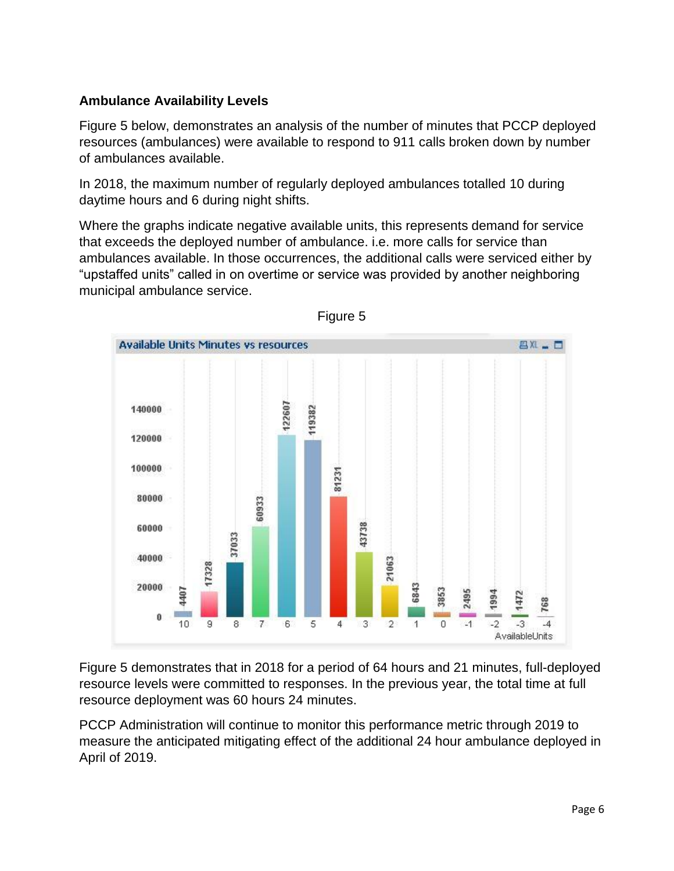## **Ambulance Availability Levels**

Figure 5 below, demonstrates an analysis of the number of minutes that PCCP deployed resources (ambulances) were available to respond to 911 calls broken down by number of ambulances available.

In 2018, the maximum number of regularly deployed ambulances totalled 10 during daytime hours and 6 during night shifts.

Where the graphs indicate negative available units, this represents demand for service that exceeds the deployed number of ambulance. i.e. more calls for service than ambulances available. In those occurrences, the additional calls were serviced either by "upstaffed units" called in on overtime or service was provided by another neighboring municipal ambulance service.





Figure 5 demonstrates that in 2018 for a period of 64 hours and 21 minutes, full-deployed resource levels were committed to responses. In the previous year, the total time at full resource deployment was 60 hours 24 minutes.

PCCP Administration will continue to monitor this performance metric through 2019 to measure the anticipated mitigating effect of the additional 24 hour ambulance deployed in April of 2019.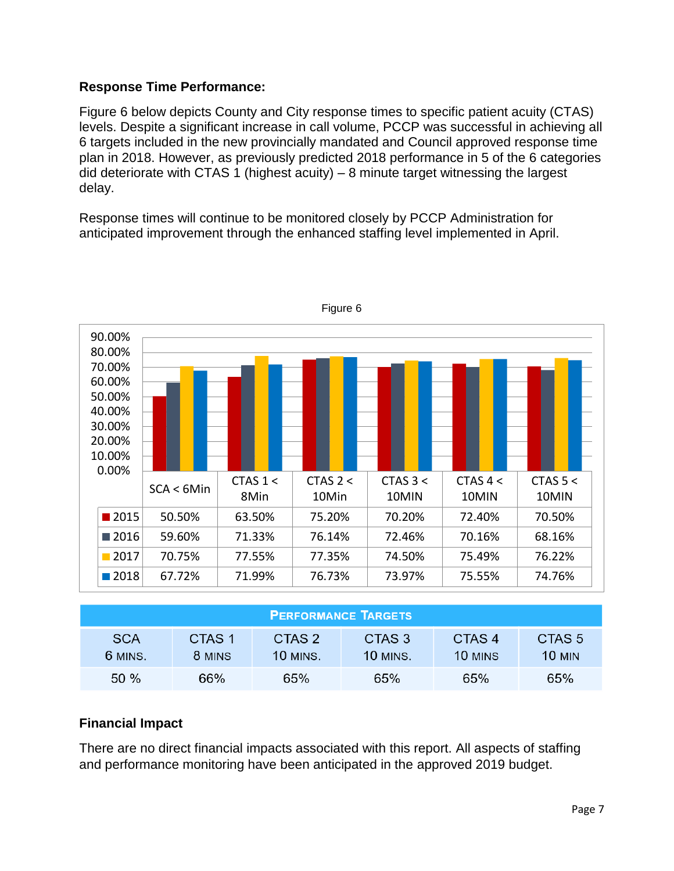## **Response Time Performance:**

Figure 6 below depicts County and City response times to specific patient acuity (CTAS) levels. Despite a significant increase in call volume, PCCP was successful in achieving all 6 targets included in the new provincially mandated and Council approved response time plan in 2018. However, as previously predicted 2018 performance in 5 of the 6 categories did deteriorate with CTAS 1 (highest acuity) – 8 minute target witnessing the largest delay.

Response times will continue to be monitored closely by PCCP Administration for anticipated improvement through the enhanced staffing level implemented in April.



| <b>PERFORMANCE TARGETS</b> |                  |                           |                           |                              |                                    |  |  |
|----------------------------|------------------|---------------------------|---------------------------|------------------------------|------------------------------------|--|--|
| <b>SCA</b><br>6 MINS.      | CTAS 1<br>8 MINS | CTAS 2<br><b>10 MINS.</b> | CTAS 3<br><b>10 MINS.</b> | CTAS <sub>4</sub><br>10 MINS | CTAS <sub>5</sub><br><b>10 MIN</b> |  |  |
| 50 %                       | 66%              | 65%                       | 65%                       | 65%                          | 65%                                |  |  |

## **Financial Impact**

There are no direct financial impacts associated with this report. All aspects of staffing and performance monitoring have been anticipated in the approved 2019 budget.